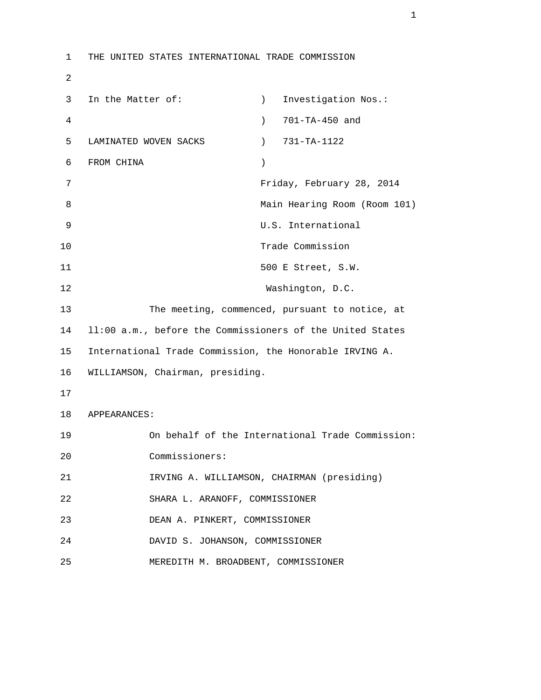1 THE UNITED STATES INTERNATIONAL TRADE COMMISSION 2 3 In the Matter of: (a) investigation Nos.: 4 ) 701-TA-450 and 5 LAMINATED WOVEN SACKS ) 731-TA-1122 6 FROM CHINA ) 7 Friday, February 28, 2014 8 Main Hearing Room (Room 101) 9 U.S. International 10 Trade Commission 11 500 E Street, S.W. 12 Washington, D.C. 13 The meeting, commenced, pursuant to notice, at 14 ll:00 a.m., before the Commissioners of the United States 15 International Trade Commission, the Honorable IRVING A. 16 WILLIAMSON, Chairman, presiding. 17 18 APPEARANCES: 19 On behalf of the International Trade Commission: 20 Commissioners: 21 IRVING A. WILLIAMSON, CHAIRMAN (presiding) 22 SHARA L. ARANOFF, COMMISSIONER 23 DEAN A. PINKERT, COMMISSIONER 24 DAVID S. JOHANSON, COMMISSIONER 25 MEREDITH M. BROADBENT, COMMISSIONER

 $1$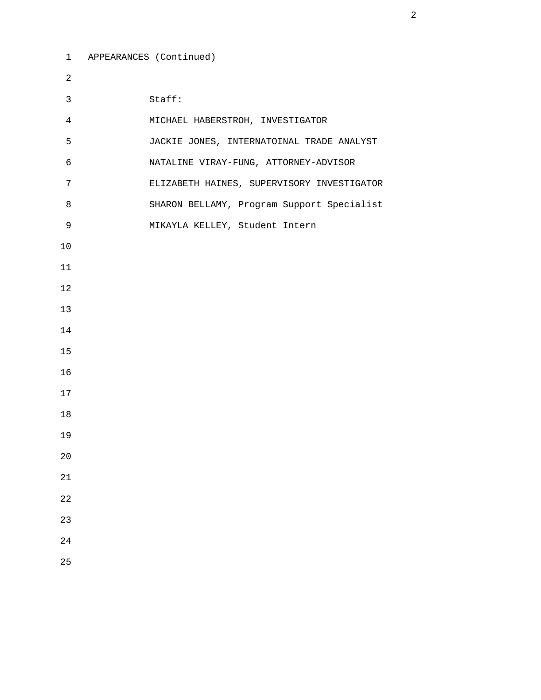```
 1 APPEARANCES (Continued) 
2 
3 Staff: 
4 MICHAEL HABERSTROH, INVESTIGATOR 
5 JACKIE JONES, INTERNATOINAL TRADE ANALYST 
6 NATALINE VIRAY-FUNG, ATTORNEY-ADVISOR 
7 ELIZABETH HAINES, SUPERVISORY INVESTIGATOR 
8 SHARON BELLAMY, Program Support Specialist 
9 MIKAYLA KELLEY, Student Intern 
10 
11 
12 
13 
14 
15 
16 
17 
18 
19 
20 
21 
22 
23
```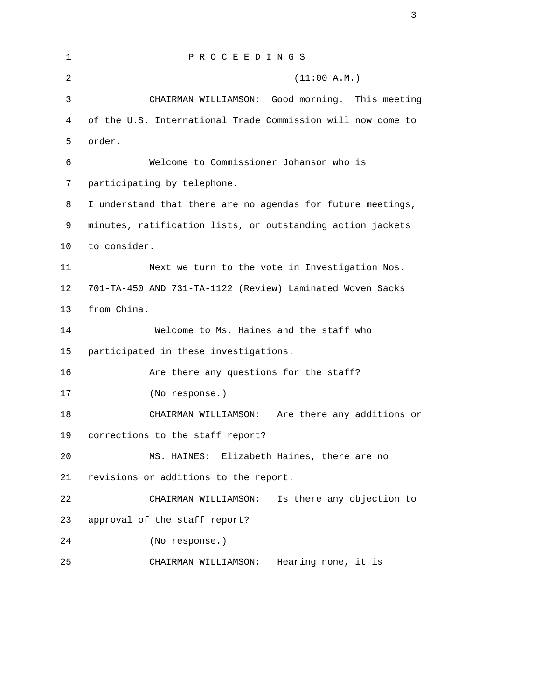| $\mathbf{1}$   | PROCEEDINGS                                                 |
|----------------|-------------------------------------------------------------|
| $\overline{a}$ | (11:00 A.M.)                                                |
| 3              | CHAIRMAN WILLIAMSON: Good morning. This meeting             |
| $\overline{4}$ | of the U.S. International Trade Commission will now come to |
| 5              | order.                                                      |
| 6              | Welcome to Commissioner Johanson who is                     |
| 7              | participating by telephone.                                 |
| 8              | I understand that there are no agendas for future meetings, |
| 9              | minutes, ratification lists, or outstanding action jackets  |
| 10             | to consider.                                                |
| 11             | Next we turn to the vote in Investigation Nos.              |
| 12             | 701-TA-450 AND 731-TA-1122 (Review) Laminated Woven Sacks   |
| 13             | from China.                                                 |
| 14             | Welcome to Ms. Haines and the staff who                     |
| 15             | participated in these investigations.                       |
| 16             | Are there any questions for the staff?                      |
| 17             | (No response.)                                              |
| 18             | CHAIRMAN WILLIAMSON:<br>Are there any additions or          |
| 19             | corrections to the staff report?                            |
| 20             | Elizabeth Haines, there are no<br>MS. HAINES:               |
| 21             | revisions or additions to the report.                       |
| 22             | Is there any objection to<br>CHAIRMAN WILLIAMSON:           |
| 23             | approval of the staff report?                               |
| 24             | (No response.)                                              |
| 25             | Hearing none, it is<br>CHAIRMAN WILLIAMSON:                 |

3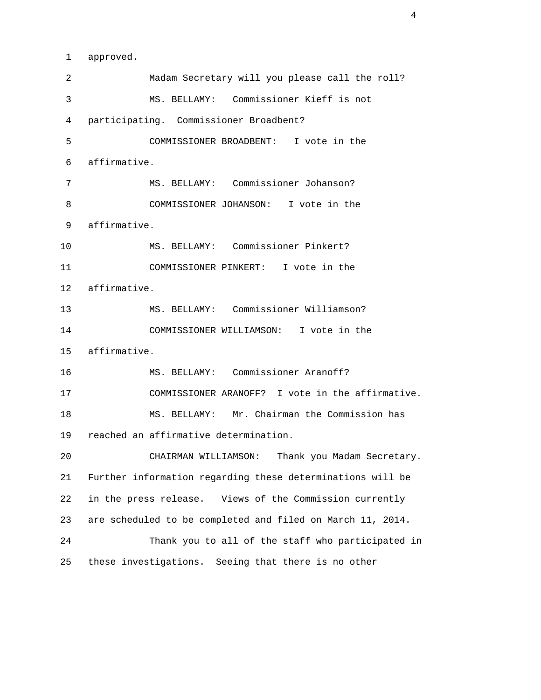1 approved.

 2 Madam Secretary will you please call the roll? 3 MS. BELLAMY: Commissioner Kieff is not 4 participating. Commissioner Broadbent? 5 COMMISSIONER BROADBENT: I vote in the 6 affirmative. 7 MS. BELLAMY: Commissioner Johanson? 8 COMMISSIONER JOHANSON: I vote in the 9 affirmative. 10 MS. BELLAMY: Commissioner Pinkert? 11 COMMISSIONER PINKERT: I vote in the 12 affirmative. 13 MS. BELLAMY: Commissioner Williamson? 14 COMMISSIONER WILLIAMSON: I vote in the 15 affirmative. 16 MS. BELLAMY: Commissioner Aranoff? 17 COMMISSIONER ARANOFF? I vote in the affirmative. 18 MS. BELLAMY: Mr. Chairman the Commission has 19 reached an affirmative determination. 20 CHAIRMAN WILLIAMSON: Thank you Madam Secretary. 21 Further information regarding these determinations will be 22 in the press release. Views of the Commission currently 23 are scheduled to be completed and filed on March 11, 2014. 24 Thank you to all of the staff who participated in 25 these investigations. Seeing that there is no other